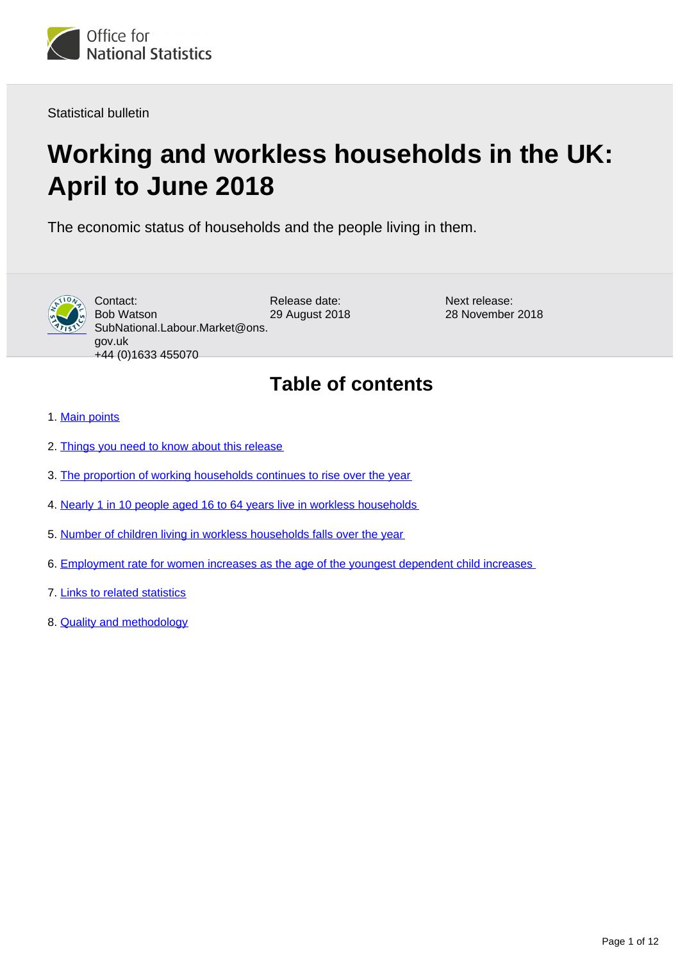

Statistical bulletin

# **Working and workless households in the UK: April to June 2018**

The economic status of households and the people living in them.



Contact: Bob Watson SubNational.Labour.Market@ons. gov.uk +44 (0)1633 455070

Release date: 29 August 2018 Next release: 28 November 2018

## **Table of contents**

- 1. [Main points](#page-1-0)
- 2. [Things you need to know about this release](#page-1-1)
- 3. [The proportion of working households continues to rise over the year](#page-4-0)
- 4. [Nearly 1 in 10 people aged 16 to 64 years live in workless households](#page-5-0)
- 5. [Number of children living in workless households falls over the year](#page-7-0)
- 6. [Employment rate for women increases as the age of the youngest dependent child increases](#page-8-0)
- 7. [Links to related statistics](#page-10-0)
- 8. [Quality and methodology](#page-10-1)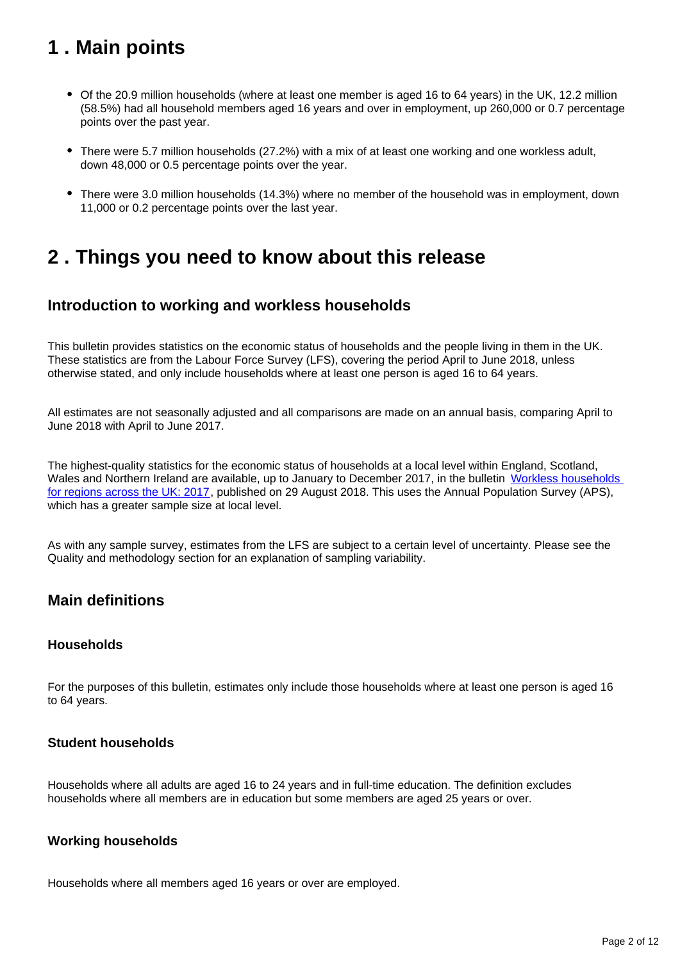## <span id="page-1-0"></span>**1 . Main points**

- Of the 20.9 million households (where at least one member is aged 16 to 64 years) in the UK, 12.2 million (58.5%) had all household members aged 16 years and over in employment, up 260,000 or 0.7 percentage points over the past year.
- There were 5.7 million households (27.2%) with a mix of at least one working and one workless adult, down 48,000 or 0.5 percentage points over the year.
- There were 3.0 million households (14.3%) where no member of the household was in employment, down 11,000 or 0.2 percentage points over the last year.

## <span id="page-1-1"></span>**2 . Things you need to know about this release**

## **Introduction to working and workless households**

This bulletin provides statistics on the economic status of households and the people living in them in the UK. These statistics are from the Labour Force Survey (LFS), covering the period April to June 2018, unless otherwise stated, and only include households where at least one person is aged 16 to 64 years.

All estimates are not seasonally adjusted and all comparisons are made on an annual basis, comparing April to June 2018 with April to June 2017.

The highest-quality statistics for the economic status of households at a local level within England, Scotland, Wales and Northern Ireland are available, up to January to December 2017, in the bulletin Workless households [for regions across the UK: 2017](https://www.ons.gov.uk/employmentandlabourmarket/peoplenotinwork/unemployment/bulletins/worklesshouseholdsforregionsacrosstheuk/2017), published on 29 August 2018. This uses the Annual Population Survey (APS), which has a greater sample size at local level.

As with any sample survey, estimates from the LFS are subject to a certain level of uncertainty. Please see the Quality and methodology section for an explanation of sampling variability.

## **Main definitions**

### **Households**

For the purposes of this bulletin, estimates only include those households where at least one person is aged 16 to 64 years.

### **Student households**

Households where all adults are aged 16 to 24 years and in full-time education. The definition excludes households where all members are in education but some members are aged 25 years or over.

### **Working households**

Households where all members aged 16 years or over are employed.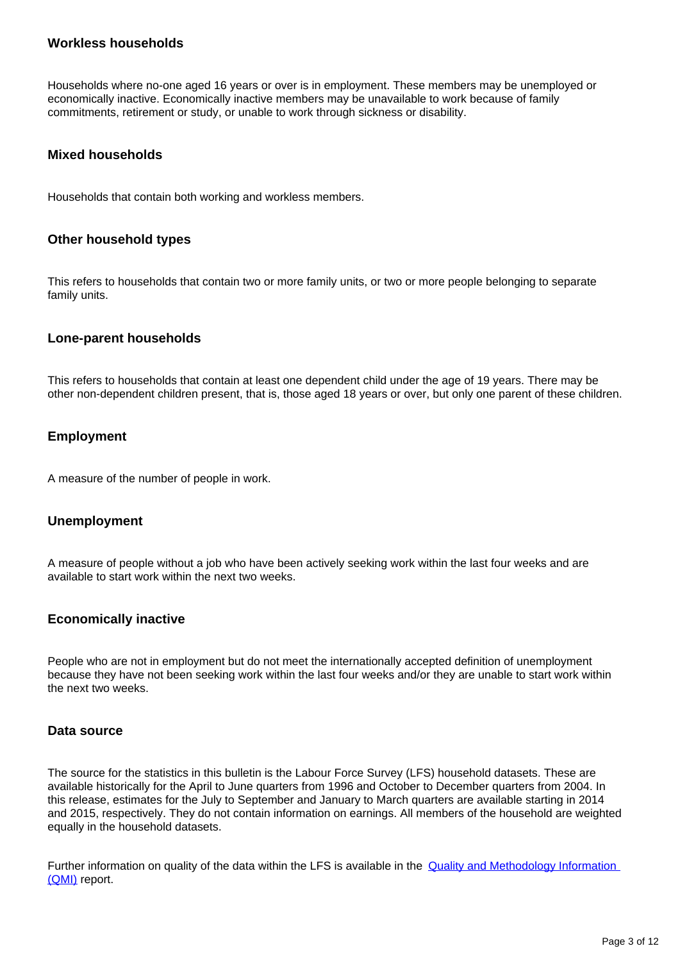### **Workless households**

Households where no-one aged 16 years or over is in employment. These members may be unemployed or economically inactive. Economically inactive members may be unavailable to work because of family commitments, retirement or study, or unable to work through sickness or disability.

### **Mixed households**

Households that contain both working and workless members.

### **Other household types**

This refers to households that contain two or more family units, or two or more people belonging to separate family units.

### **Lone-parent households**

This refers to households that contain at least one dependent child under the age of 19 years. There may be other non-dependent children present, that is, those aged 18 years or over, but only one parent of these children.

### **Employment**

A measure of the number of people in work.

#### **Unemployment**

A measure of people without a job who have been actively seeking work within the last four weeks and are available to start work within the next two weeks.

### **Economically inactive**

People who are not in employment but do not meet the internationally accepted definition of unemployment because they have not been seeking work within the last four weeks and/or they are unable to start work within the next two weeks.

#### **Data source**

The source for the statistics in this bulletin is the Labour Force Survey (LFS) household datasets. These are available historically for the April to June quarters from 1996 and October to December quarters from 2004. In this release, estimates for the July to September and January to March quarters are available starting in 2014 and 2015, respectively. They do not contain information on earnings. All members of the household are weighted equally in the household datasets.

Further information on quality of the data within the LFS is available in the [Quality and Methodology Information](https://www.ons.gov.uk/employmentandlabourmarket/peopleinwork/employmentandemployeetypes/qmis/labourforcesurveylfsqmi)  [\(QMI\)](https://www.ons.gov.uk/employmentandlabourmarket/peopleinwork/employmentandemployeetypes/qmis/labourforcesurveylfsqmi) report.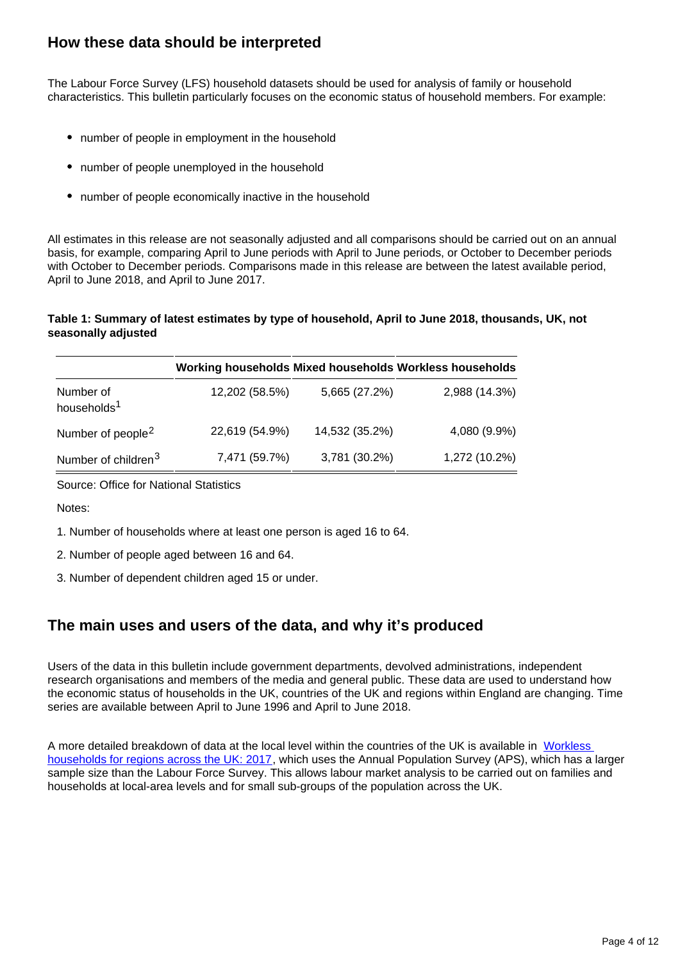## **How these data should be interpreted**

The Labour Force Survey (LFS) household datasets should be used for analysis of family or household characteristics. This bulletin particularly focuses on the economic status of household members. For example:

- number of people in employment in the household
- number of people unemployed in the household
- number of people economically inactive in the household

All estimates in this release are not seasonally adjusted and all comparisons should be carried out on an annual basis, for example, comparing April to June periods with April to June periods, or October to December periods with October to December periods. Comparisons made in this release are between the latest available period, April to June 2018, and April to June 2017.

#### **Table 1: Summary of latest estimates by type of household, April to June 2018, thousands, UK, not seasonally adjusted**

|                                      |                |                | Working households Mixed households Workless households |
|--------------------------------------|----------------|----------------|---------------------------------------------------------|
| Number of<br>households <sup>1</sup> | 12,202 (58.5%) | 5,665 (27.2%)  | 2,988 (14.3%)                                           |
| Number of people <sup>2</sup>        | 22,619 (54.9%) | 14,532 (35.2%) | 4,080 (9.9%)                                            |
| Number of children <sup>3</sup>      | 7,471 (59.7%)  | 3,781 (30.2%)  | 1,272 (10.2%)                                           |

Source: Office for National Statistics

Notes:

- 1. Number of households where at least one person is aged 16 to 64.
- 2. Number of people aged between 16 and 64.
- 3. Number of dependent children aged 15 or under.

## **The main uses and users of the data, and why it's produced**

Users of the data in this bulletin include government departments, devolved administrations, independent research organisations and members of the media and general public. These data are used to understand how the economic status of households in the UK, countries of the UK and regions within England are changing. Time series are available between April to June 1996 and April to June 2018.

A more detailed breakdown of data at the local level within the countries of the UK is available in [Workless](https://www.ons.gov.uk/employmentandlabourmarket/peoplenotinwork/unemployment/bulletins/worklesshouseholdsforregionsacrosstheuk/2017)  [households for regions across the UK: 2017,](https://www.ons.gov.uk/employmentandlabourmarket/peoplenotinwork/unemployment/bulletins/worklesshouseholdsforregionsacrosstheuk/2017) which uses the Annual Population Survey (APS), which has a larger sample size than the Labour Force Survey. This allows labour market analysis to be carried out on families and households at local-area levels and for small sub-groups of the population across the UK.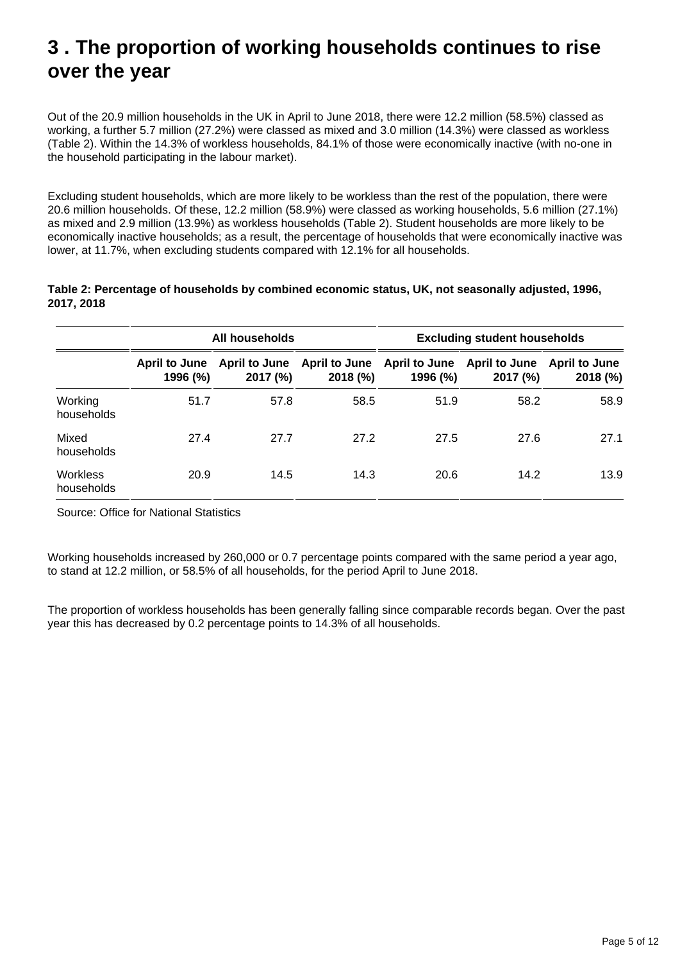## <span id="page-4-0"></span>**3 . The proportion of working households continues to rise over the year**

Out of the 20.9 million households in the UK in April to June 2018, there were 12.2 million (58.5%) classed as working, a further 5.7 million (27.2%) were classed as mixed and 3.0 million (14.3%) were classed as workless (Table 2). Within the 14.3% of workless households, 84.1% of those were economically inactive (with no-one in the household participating in the labour market).

Excluding student households, which are more likely to be workless than the rest of the population, there were 20.6 million households. Of these, 12.2 million (58.9%) were classed as working households, 5.6 million (27.1%) as mixed and 2.9 million (13.9%) as workless households (Table 2). Student households are more likely to be economically inactive households; as a result, the percentage of households that were economically inactive was lower, at 11.7%, when excluding students compared with 12.1% for all households.

| Table 2: Percentage of households by combined economic status, UK, not seasonally adjusted, 1996, |  |
|---------------------------------------------------------------------------------------------------|--|
| 2017, 2018                                                                                        |  |

|                               | All households            |                                  |          | <b>Excluding student households</b>                   |          |                                  |
|-------------------------------|---------------------------|----------------------------------|----------|-------------------------------------------------------|----------|----------------------------------|
|                               | April to June<br>1996 (%) | <b>April to June</b><br>2017 (%) | 2018 (%) | April to June April to June April to June<br>1996 (%) | 2017 (%) | <b>April to June</b><br>2018 (%) |
| Working<br>households         | 51.7                      | 57.8                             | 58.5     | 51.9                                                  | 58.2     | 58.9                             |
| Mixed<br>households           | 27.4                      | 27.7                             | 27.2     | 27.5                                                  | 27.6     | 27.1                             |
| <b>Workless</b><br>households | 20.9                      | 14.5                             | 14.3     | 20.6                                                  | 14.2     | 13.9                             |

Source: Office for National Statistics

Working households increased by 260,000 or 0.7 percentage points compared with the same period a year ago, to stand at 12.2 million, or 58.5% of all households, for the period April to June 2018.

The proportion of workless households has been generally falling since comparable records began. Over the past year this has decreased by 0.2 percentage points to 14.3% of all households.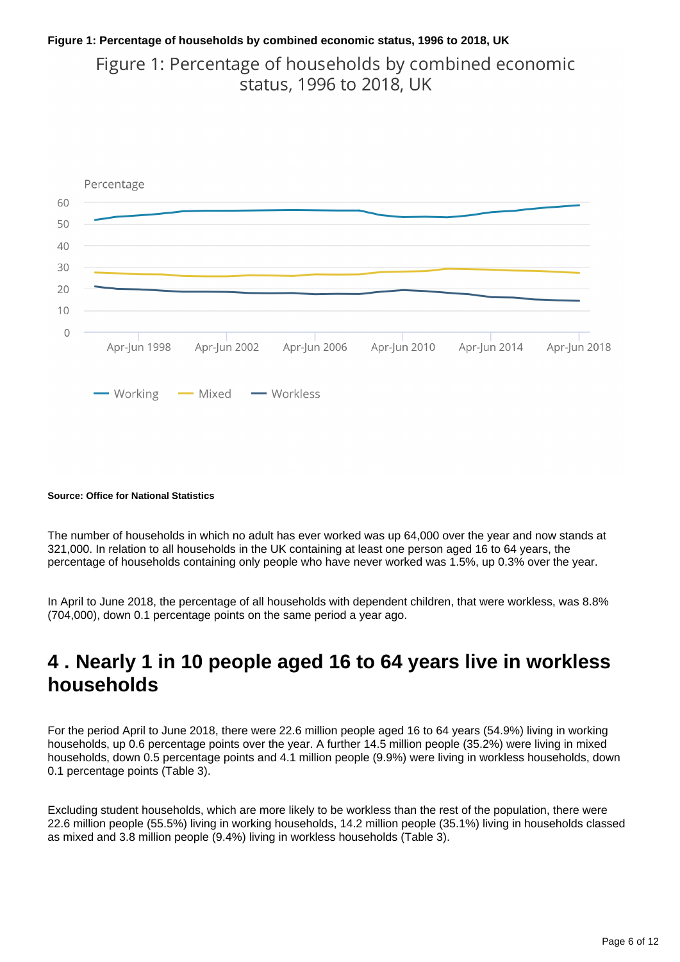## **Figure 1: Percentage of households by combined economic status, 1996 to 2018, UK**

Figure 1: Percentage of households by combined economic status, 1996 to 2018, UK



#### **Source: Office for National Statistics**

The number of households in which no adult has ever worked was up 64,000 over the year and now stands at 321,000. In relation to all households in the UK containing at least one person aged 16 to 64 years, the percentage of households containing only people who have never worked was 1.5%, up 0.3% over the year.

In April to June 2018, the percentage of all households with dependent children, that were workless, was 8.8% (704,000), down 0.1 percentage points on the same period a year ago.

## <span id="page-5-0"></span>**4 . Nearly 1 in 10 people aged 16 to 64 years live in workless households**

For the period April to June 2018, there were 22.6 million people aged 16 to 64 years (54.9%) living in working households, up 0.6 percentage points over the year. A further 14.5 million people (35.2%) were living in mixed households, down 0.5 percentage points and 4.1 million people (9.9%) were living in workless households, down 0.1 percentage points (Table 3).

Excluding student households, which are more likely to be workless than the rest of the population, there were 22.6 million people (55.5%) living in working households, 14.2 million people (35.1%) living in households classed as mixed and 3.8 million people (9.4%) living in workless households (Table 3).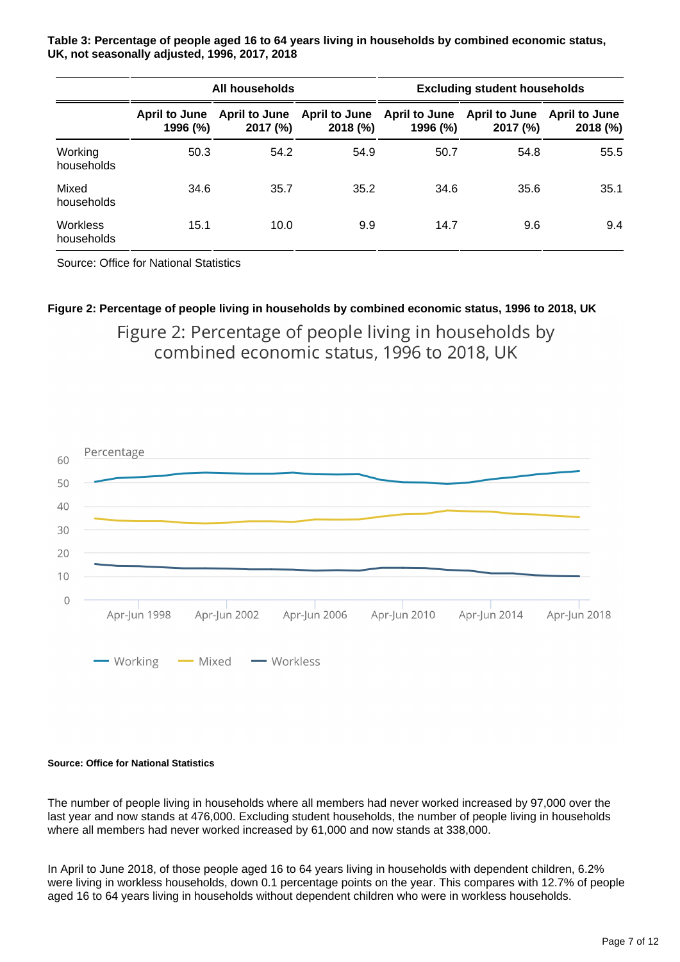**Table 3: Percentage of people aged 16 to 64 years living in households by combined economic status, UK, not seasonally adjusted, 1996, 2017, 2018**

|                               | All households            |                                  |                                 | <b>Excluding student households</b>     |          |                                  |
|-------------------------------|---------------------------|----------------------------------|---------------------------------|-----------------------------------------|----------|----------------------------------|
|                               | April to June<br>1996 (%) | <b>April to June</b><br>2017 (%) | <b>April to June</b><br>2018(%) | April to June April to June<br>1996 (%) | 2017 (%) | <b>April to June</b><br>2018 (%) |
| Working<br>households         | 50.3                      | 54.2                             | 54.9                            | 50.7                                    | 54.8     | 55.5                             |
| Mixed<br>households           | 34.6                      | 35.7                             | 35.2                            | 34.6                                    | 35.6     | 35.1                             |
| <b>Workless</b><br>households | 15.1                      | 10.0                             | 9.9                             | 14.7                                    | 9.6      | 9.4                              |

Source: Office for National Statistics

## **Figure 2: Percentage of people living in households by combined economic status, 1996 to 2018, UK** Figure 2: Percentage of people living in households by combined economic status, 1996 to 2018, UK



#### **Source: Office for National Statistics**

The number of people living in households where all members had never worked increased by 97,000 over the last year and now stands at 476,000. Excluding student households, the number of people living in households where all members had never worked increased by 61,000 and now stands at 338,000.

In April to June 2018, of those people aged 16 to 64 years living in households with dependent children, 6.2% were living in workless households, down 0.1 percentage points on the year. This compares with 12.7% of people aged 16 to 64 years living in households without dependent children who were in workless households.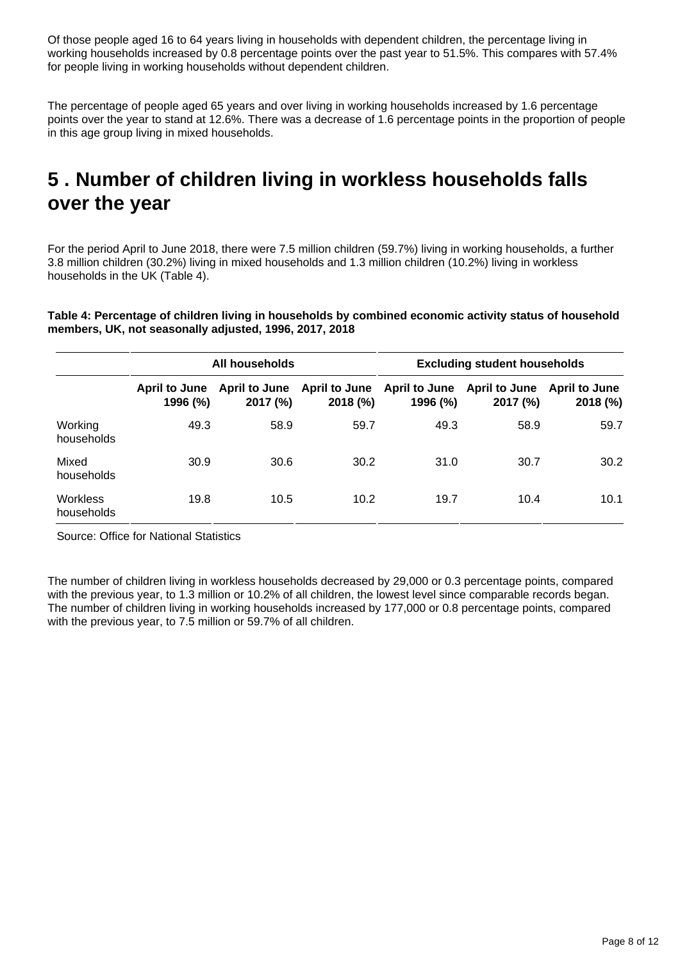Of those people aged 16 to 64 years living in households with dependent children, the percentage living in working households increased by 0.8 percentage points over the past year to 51.5%. This compares with 57.4% for people living in working households without dependent children.

The percentage of people aged 65 years and over living in working households increased by 1.6 percentage points over the year to stand at 12.6%. There was a decrease of 1.6 percentage points in the proportion of people in this age group living in mixed households.

## <span id="page-7-0"></span>**5 . Number of children living in workless households falls over the year**

For the period April to June 2018, there were 7.5 million children (59.7%) living in working households, a further 3.8 million children (30.2%) living in mixed households and 1.3 million children (10.2%) living in workless households in the UK (Table 4).

**Table 4: Percentage of children living in households by combined economic activity status of household members, UK, not seasonally adjusted, 1996, 2017, 2018**

|                               | All households                   |                                  |                                 | <b>Excluding student households</b> |                                  |                                  |
|-------------------------------|----------------------------------|----------------------------------|---------------------------------|-------------------------------------|----------------------------------|----------------------------------|
|                               | <b>April to June</b><br>1996 (%) | <b>April to June</b><br>2017 (%) | <b>April to June</b><br>2018(%) | <b>April to June</b><br>1996 (%)    | <b>April to June</b><br>2017 (%) | <b>April to June</b><br>2018 (%) |
| Working<br>households         | 49.3                             | 58.9                             | 59.7                            | 49.3                                | 58.9                             | 59.7                             |
| Mixed<br>households           | 30.9                             | 30.6                             | 30.2                            | 31.0                                | 30.7                             | 30.2                             |
| <b>Workless</b><br>households | 19.8                             | 10.5                             | 10.2                            | 19.7                                | 10.4                             | 10.1                             |

Source: Office for National Statistics

The number of children living in workless households decreased by 29,000 or 0.3 percentage points, compared with the previous year, to 1.3 million or 10.2% of all children, the lowest level since comparable records began. The number of children living in working households increased by 177,000 or 0.8 percentage points, compared with the previous year, to 7.5 million or 59.7% of all children.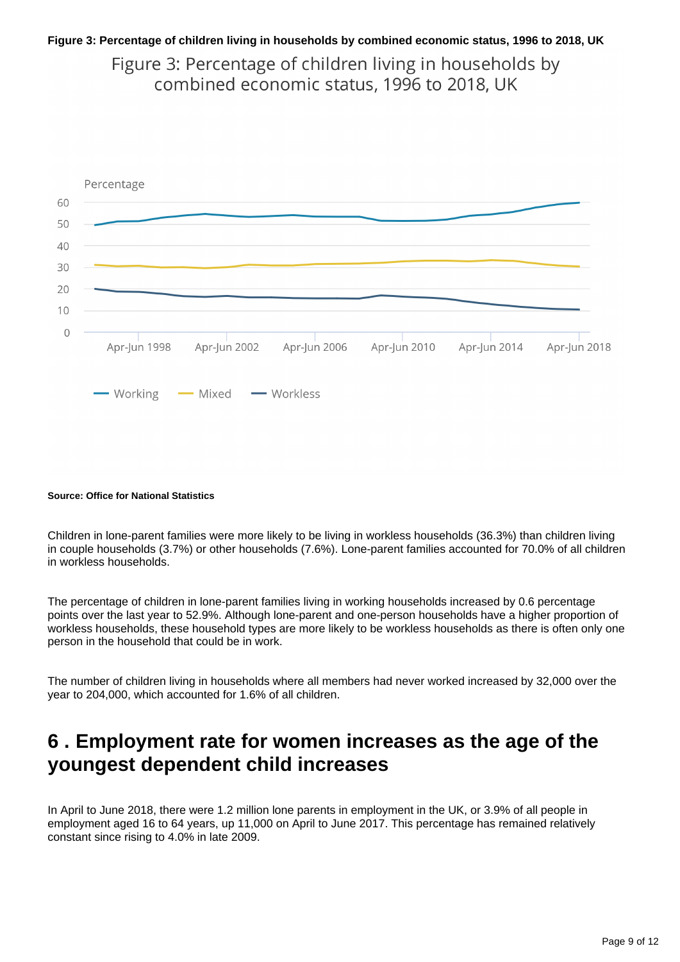### **Figure 3: Percentage of children living in households by combined economic status, 1996 to 2018, UK**

Figure 3: Percentage of children living in households by combined economic status, 1996 to 2018, UK



#### **Source: Office for National Statistics**

Children in lone-parent families were more likely to be living in workless households (36.3%) than children living in couple households (3.7%) or other households (7.6%). Lone-parent families accounted for 70.0% of all children in workless households.

The percentage of children in lone-parent families living in working households increased by 0.6 percentage points over the last year to 52.9%. Although lone-parent and one-person households have a higher proportion of workless households, these household types are more likely to be workless households as there is often only one person in the household that could be in work.

The number of children living in households where all members had never worked increased by 32,000 over the year to 204,000, which accounted for 1.6% of all children.

## <span id="page-8-0"></span>**6 . Employment rate for women increases as the age of the youngest dependent child increases**

In April to June 2018, there were 1.2 million lone parents in employment in the UK, or 3.9% of all people in employment aged 16 to 64 years, up 11,000 on April to June 2017. This percentage has remained relatively constant since rising to 4.0% in late 2009.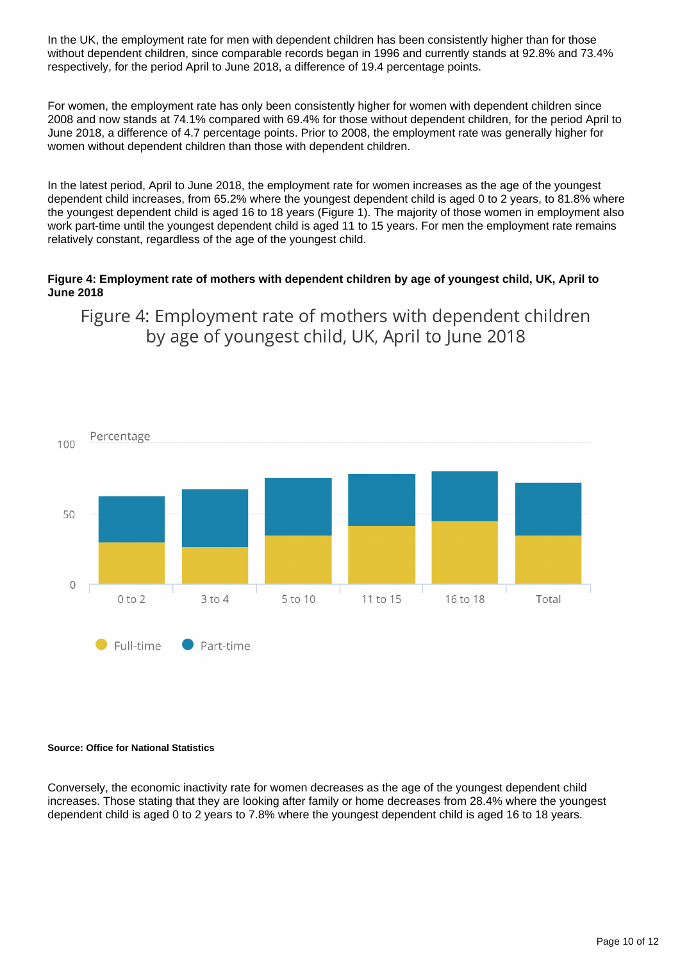In the UK, the employment rate for men with dependent children has been consistently higher than for those without dependent children, since comparable records began in 1996 and currently stands at 92.8% and 73.4% respectively, for the period April to June 2018, a difference of 19.4 percentage points.

For women, the employment rate has only been consistently higher for women with dependent children since 2008 and now stands at 74.1% compared with 69.4% for those without dependent children, for the period April to June 2018, a difference of 4.7 percentage points. Prior to 2008, the employment rate was generally higher for women without dependent children than those with dependent children.

In the latest period, April to June 2018, the employment rate for women increases as the age of the youngest dependent child increases, from 65.2% where the youngest dependent child is aged 0 to 2 years, to 81.8% where the youngest dependent child is aged 16 to 18 years (Figure 1). The majority of those women in employment also work part-time until the youngest dependent child is aged 11 to 15 years. For men the employment rate remains relatively constant, regardless of the age of the youngest child.

### **Figure 4: Employment rate of mothers with dependent children by age of youngest child, UK, April to June 2018**

Figure 4: Employment rate of mothers with dependent children by age of youngest child, UK, April to June 2018



#### **Source: Office for National Statistics**

Conversely, the economic inactivity rate for women decreases as the age of the youngest dependent child increases. Those stating that they are looking after family or home decreases from 28.4% where the youngest dependent child is aged 0 to 2 years to 7.8% where the youngest dependent child is aged 16 to 18 years.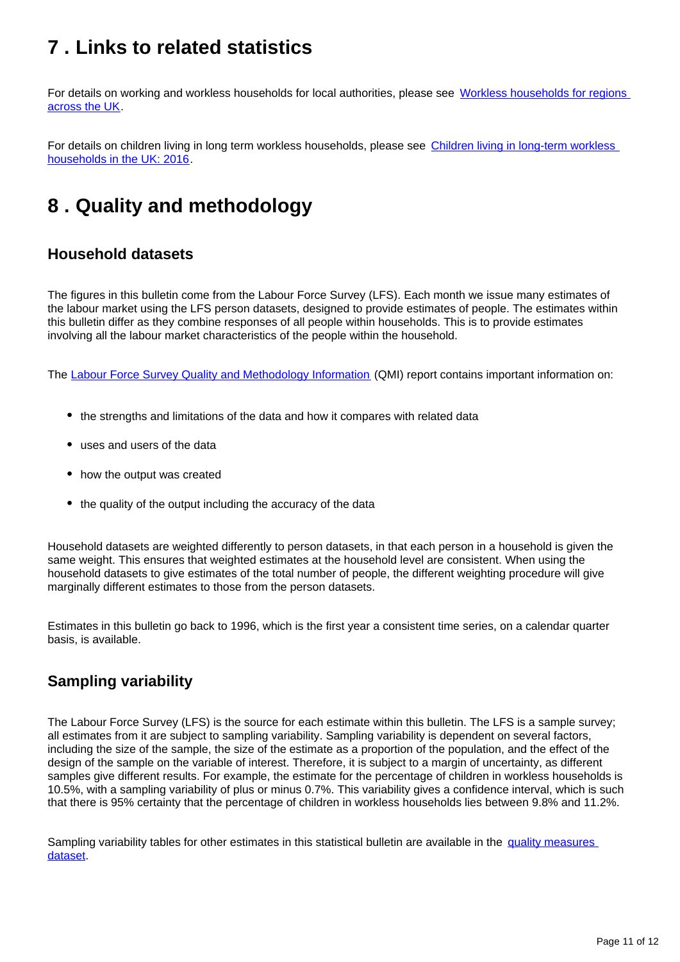## <span id="page-10-0"></span>**7 . Links to related statistics**

For details on working and workless households for local authorities, please see Workless households for regions [across the UK.](https://www.ons.gov.uk/employmentandlabourmarket/peoplenotinwork/unemployment/bulletins/worklesshouseholdsforregionsacrosstheuk/previousReleases)

For details on children living in long term workless households, please see Children living in long-term workless [households in the UK: 2016](https://www.ons.gov.uk/employmentandlabourmarket/peoplenotinwork/unemployment/bulletins/childrenlivinginlongtermworklesshouseholdsintheuk/2016).

## <span id="page-10-1"></span>**8 . Quality and methodology**

## **Household datasets**

The figures in this bulletin come from the Labour Force Survey (LFS). Each month we issue many estimates of the labour market using the LFS person datasets, designed to provide estimates of people. The estimates within this bulletin differ as they combine responses of all people within households. This is to provide estimates involving all the labour market characteristics of the people within the household.

The [Labour Force Survey Quality and Methodology Information](https://www.ons.gov.uk/employmentandlabourmarket/peopleinwork/employmentandemployeetypes/qmis/labourforcesurveylfsqmi) (QMI) report contains important information on:

- the strengths and limitations of the data and how it compares with related data
- uses and users of the data
- how the output was created
- the quality of the output including the accuracy of the data

Household datasets are weighted differently to person datasets, in that each person in a household is given the same weight. This ensures that weighted estimates at the household level are consistent. When using the household datasets to give estimates of the total number of people, the different weighting procedure will give marginally different estimates to those from the person datasets.

Estimates in this bulletin go back to 1996, which is the first year a consistent time series, on a calendar quarter basis, is available.

## **Sampling variability**

The Labour Force Survey (LFS) is the source for each estimate within this bulletin. The LFS is a sample survey; all estimates from it are subject to sampling variability. Sampling variability is dependent on several factors, including the size of the sample, the size of the estimate as a proportion of the population, and the effect of the design of the sample on the variable of interest. Therefore, it is subject to a margin of uncertainty, as different samples give different results. For example, the estimate for the percentage of children in workless households is 10.5%, with a sampling variability of plus or minus 0.7%. This variability gives a confidence interval, which is such that there is 95% certainty that the percentage of children in workless households lies between 9.8% and 11.2%.

Sampling variability tables for other estimates in this statistical bulletin are available in the quality measures [dataset.](https://www.ons.gov.uk/employmentandlabourmarket/peopleinwork/employmentandemployeetypes/datasets/workingandworklesshouseholdstableshowingqualitymeasures)